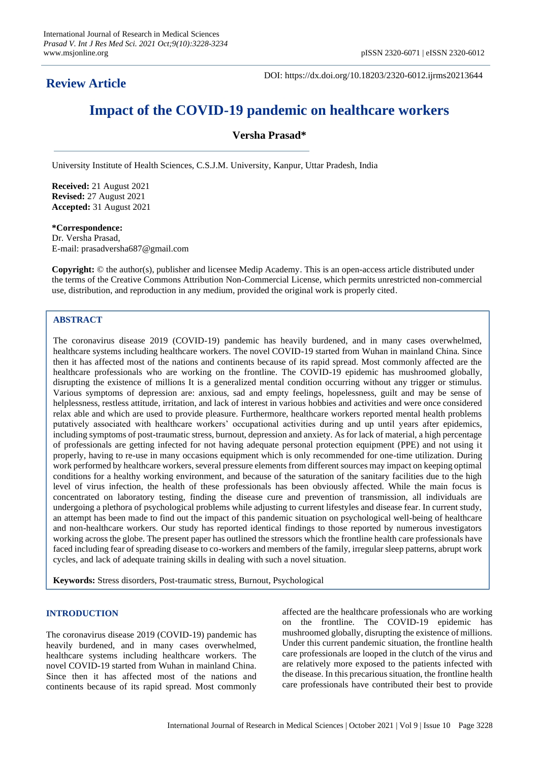DOI: https://dx.doi.org/10.18203/2320-6012.ijrms20213644

# **Impact of the COVID-19 pandemic on healthcare workers**

# **Versha Prasad\***

University Institute of Health Sciences, C.S.J.M. University, Kanpur, Uttar Pradesh, India

**Received:** 21 August 2021 **Revised:** 27 August 2021 **Accepted:** 31 August 2021

#### **\*Correspondence:** Dr. Versha Prasad,

E-mail: prasadversha687@gmail.com

**Copyright:** © the author(s), publisher and licensee Medip Academy. This is an open-access article distributed under the terms of the Creative Commons Attribution Non-Commercial License, which permits unrestricted non-commercial use, distribution, and reproduction in any medium, provided the original work is properly cited.

# **ABSTRACT**

The coronavirus disease 2019 (COVID-19) pandemic has heavily burdened, and in many cases overwhelmed, healthcare systems including healthcare workers. The novel COVID-19 started from Wuhan in mainland China. Since then it has affected most of the nations and continents because of its rapid spread. Most commonly affected are the healthcare professionals who are working on the frontline. The COVID-19 epidemic has mushroomed globally, disrupting the existence of millions It is a generalized mental condition occurring without any trigger or stimulus. Various symptoms of depression are: anxious, sad and empty feelings, hopelessness, guilt and may be sense of helplessness, restless attitude, irritation, and lack of interest in various hobbies and activities and were once considered relax able and which are used to provide pleasure. Furthermore, healthcare workers reported mental health problems putatively associated with healthcare workers' occupational activities during and up until years after epidemics, including symptoms of post-traumatic stress, burnout, depression and anxiety. As for lack of material, a high percentage of professionals are getting infected for not having adequate personal protection equipment (PPE) and not using it properly, having to re-use in many occasions equipment which is only recommended for one-time utilization. During work performed by healthcare workers, several pressure elements from different sources may impact on keeping optimal conditions for a healthy working environment, and because of the saturation of the sanitary facilities due to the high level of virus infection, the health of these professionals has been obviously affected. While the main focus is concentrated on laboratory testing, finding the disease cure and prevention of transmission, all individuals are undergoing a plethora of psychological problems while adjusting to current lifestyles and disease fear. In current study, an attempt has been made to find out the impact of this pandemic situation on psychological well-being of healthcare and non-healthcare workers. Our study has reported identical findings to those reported by numerous investigators working across the globe. The present paper has outlined the stressors which the frontline health care professionals have faced including fear of spreading disease to co-workers and members of the family, irregular sleep patterns, abrupt work cycles, and lack of adequate training skills in dealing with such a novel situation.

**Keywords:** Stress disorders, Post-traumatic stress, Burnout, Psychological

#### **INTRODUCTION**

The coronavirus disease 2019 (COVID-19) pandemic has heavily burdened, and in many cases overwhelmed, healthcare systems including healthcare workers. The novel COVID-19 started from Wuhan in mainland China. Since then it has affected most of the nations and continents because of its rapid spread. Most commonly affected are the healthcare professionals who are working on the frontline. The COVID-19 epidemic has mushroomed globally, disrupting the existence of millions. Under this current pandemic situation, the frontline health care professionals are looped in the clutch of the virus and are relatively more exposed to the patients infected with the disease. In this precarious situation, the frontline health care professionals have contributed their best to provide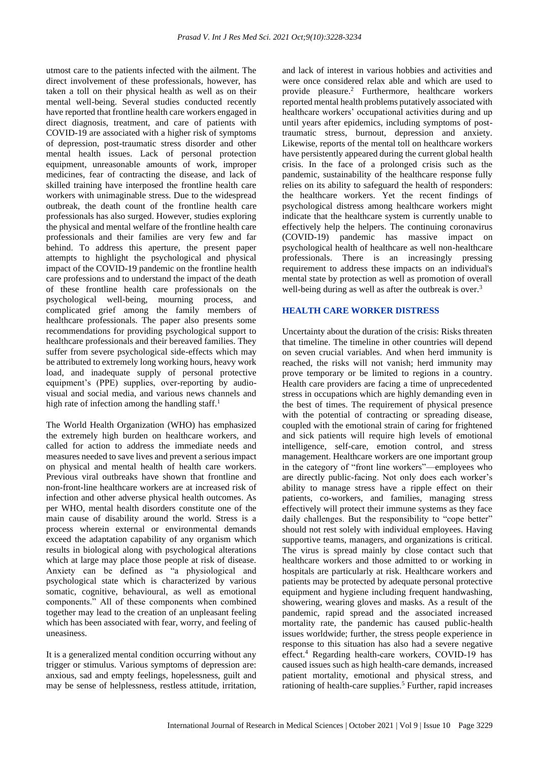utmost care to the patients infected with the ailment. The direct involvement of these professionals, however, has taken a toll on their physical health as well as on their mental well-being. Several studies conducted recently have reported that frontline health care workers engaged in direct diagnosis, treatment, and care of patients with COVID-19 are associated with a higher risk of symptoms of depression, post-traumatic stress disorder and other mental health issues. Lack of personal protection equipment, unreasonable amounts of work, improper medicines, fear of contracting the disease, and lack of skilled training have interposed the frontline health care workers with unimaginable stress. Due to the widespread outbreak, the death count of the frontline health care professionals has also surged. However, studies exploring the physical and mental welfare of the frontline health care professionals and their families are very few and far behind. To address this aperture, the present paper attempts to highlight the psychological and physical impact of the COVID-19 pandemic on the frontline health care professions and to understand the impact of the death of these frontline health care professionals on the psychological well-being, mourning process, and complicated grief among the family members of healthcare professionals. The paper also presents some recommendations for providing psychological support to healthcare professionals and their bereaved families. They suffer from severe psychological side-effects which may be attributed to extremely long working hours, heavy work load, and inadequate supply of personal protective equipment's (PPE) supplies, over-reporting by audiovisual and social media, and various news channels and high rate of infection among the handling staff.<sup>1</sup>

The World Health Organization (WHO) has emphasized the extremely high burden on healthcare workers, and called for action to address the immediate needs and measures needed to save lives and prevent a serious impact on physical and mental health of health care workers. Previous viral outbreaks have shown that frontline and non-front-line healthcare workers are at increased risk of infection and other adverse physical health outcomes. As per WHO, mental health disorders constitute one of the main cause of disability around the world. Stress is a process wherein external or environmental demands exceed the adaptation capability of any organism which results in biological along with psychological alterations which at large may place those people at risk of disease. Anxiety can be defined as "a physiological and psychological state which is characterized by various somatic, cognitive, behavioural, as well as emotional components." All of these components when combined together may lead to the creation of an unpleasant feeling which has been associated with fear, worry, and feeling of uneasiness.

It is a generalized mental condition occurring without any trigger or stimulus. Various symptoms of depression are: anxious, sad and empty feelings, hopelessness, guilt and may be sense of helplessness, restless attitude, irritation,

and lack of interest in various hobbies and activities and were once considered relax able and which are used to provide pleasure.<sup>2</sup> Furthermore, healthcare workers reported mental health problems putatively associated with healthcare workers' occupational activities during and up until years after epidemics, including symptoms of posttraumatic stress, burnout, depression and anxiety. Likewise, reports of the mental toll on healthcare workers have persistently appeared during the current global health crisis. In the face of a prolonged crisis such as the pandemic, sustainability of the healthcare response fully relies on its ability to safeguard the health of responders: the healthcare workers. Yet the recent findings of psychological distress among healthcare workers might indicate that the healthcare system is currently unable to effectively help the helpers. The continuing coronavirus (COVID-19) pandemic has massive impact on psychological health of healthcare as well non-healthcare professionals. There is an increasingly pressing requirement to address these impacts on an individual's mental state by protection as well as promotion of overall well-being during as well as after the outbreak is over.<sup>3</sup>

# **HEALTH CARE WORKER DISTRESS**

Uncertainty about the duration of the crisis: Risks threaten that timeline. The timeline in other countries will depend on seven crucial variables. And when herd immunity is reached, the risks will not vanish; herd immunity may prove temporary or be limited to regions in a country. Health care providers are facing a time of unprecedented stress in occupations which are highly demanding even in the best of times. The requirement of physical presence with the potential of contracting or spreading disease, coupled with the emotional strain of caring for frightened and sick patients will require high levels of emotional intelligence, self-care, emotion control, and stress management. Healthcare workers are one important group in the category of "front line workers"—employees who are directly public-facing. Not only does each worker's ability to manage stress have a ripple effect on their patients, co-workers, and families, managing stress effectively will protect their immune systems as they face daily challenges. But the responsibility to "cope better" should not rest solely with individual employees. Having supportive teams, managers, and organizations is critical. The virus is spread mainly by close contact such that healthcare workers and those admitted to or working in hospitals are particularly at risk. Healthcare workers and patients may be protected by adequate personal protective equipment and hygiene including frequent handwashing, showering, wearing gloves and masks. As a result of the pandemic, rapid spread and the associated increased mortality rate, the pandemic has caused public-health issues worldwide; further, the stress people experience in response to this situation has also had a severe negative effect.<sup>4</sup> Regarding health-care workers, COVID‐19 has caused issues such as high health-care demands, increased patient mortality, emotional and physical stress, and rationing of health-care supplies.<sup>5</sup> Further, rapid increases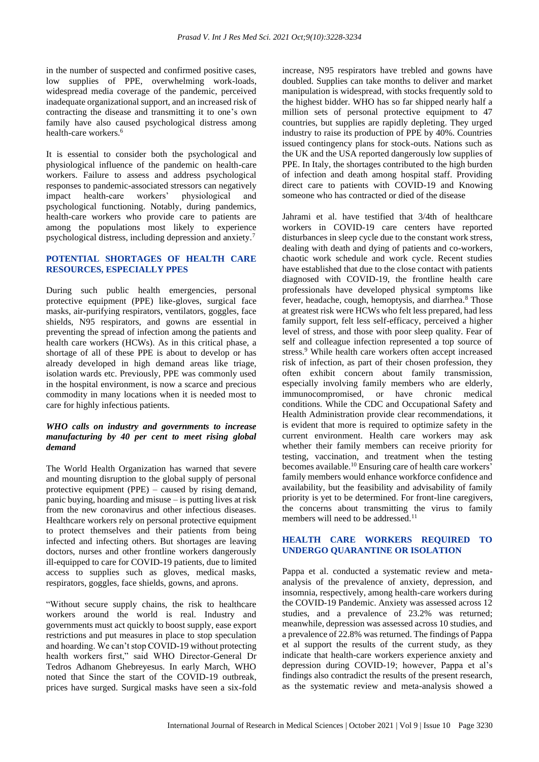in the number of suspected and confirmed positive cases, low supplies of PPE, overwhelming work-loads, widespread media coverage of the pandemic, perceived inadequate organizational support, and an increased risk of contracting the disease and transmitting it to one's own family have also caused psychological distress among health-care workers.<sup>6</sup>

It is essential to consider both the psychological and physiological influence of the pandemic on health-care workers. Failure to assess and address psychological responses to pandemic-associated stressors can negatively impact health-care workers' physiological and psychological functioning. Notably, during pandemics, health-care workers who provide care to patients are among the populations most likely to experience psychological distress, including depression and anxiety.<sup>7</sup>

# **POTENTIAL SHORTAGES OF HEALTH CARE RESOURCES, ESPECIALLY PPES**

During such public health emergencies, personal protective equipment (PPE) like-gloves, surgical face masks, air-purifying respirators, ventilators, goggles, face shields, N95 respirators, and gowns are essential in preventing the spread of infection among the patients and health care workers (HCWs). As in this critical phase, a shortage of all of these PPE is about to develop or has already developed in high demand areas like triage, isolation wards etc. Previously, PPE was commonly used in the hospital environment, is now a scarce and precious commodity in many locations when it is needed most to care for highly infectious patients.

# *WHO calls on industry and governments to increase manufacturing by 40 per cent to meet rising global demand*

The World Health Organization has warned that severe and mounting disruption to the global supply of personal protective equipment (PPE) – caused by rising demand, panic buying, hoarding and misuse – is putting lives at risk from the new coronavirus and other infectious diseases. Healthcare workers rely on personal protective equipment to protect themselves and their patients from being infected and infecting others. But shortages are leaving doctors, nurses and other frontline workers dangerously ill-equipped to care for COVID-19 patients, due to limited access to supplies such as gloves, medical masks, respirators, goggles, face shields, gowns, and aprons.

"Without secure supply chains, the risk to healthcare workers around the world is real. Industry and governments must act quickly to boost supply, ease export restrictions and put measures in place to stop speculation and hoarding. We can't stop COVID-19 without protecting health workers first," said WHO Director-General Dr Tedros Adhanom Ghebreyesus. In early March, WHO noted that Since the start of the COVID-19 outbreak, prices have surged. Surgical masks have seen a six-fold increase, N95 respirators have trebled and gowns have doubled. Supplies can take months to deliver and market manipulation is widespread, with stocks frequently sold to the highest bidder. WHO has so far shipped nearly half a million sets of personal protective equipment to 47 countries, but supplies are rapidly depleting. They urged industry to raise its production of PPE by 40%. Countries issued contingency plans for stock-outs. Nations such as the UK and the USA reported dangerously low supplies of PPE. In Italy, the shortages contributed to the high burden of infection and death among hospital staff. Providing direct care to patients with COVID-19 and Knowing someone who has contracted or died of the disease

Jahrami et al. have testified that 3/4th of healthcare workers in COVID-19 care centers have reported disturbances in sleep cycle due to the constant work stress, dealing with death and dying of patients and co-workers, chaotic work schedule and work cycle. Recent studies have established that due to the close contact with patients diagnosed with COVID-19, the frontline health care professionals have developed physical symptoms like fever, headache, cough, hemoptysis, and diarrhea.<sup>8</sup> Those at greatest risk were HCWs who felt less prepared, had less family support, felt less self-efficacy, perceived a higher level of stress, and those with poor sleep quality. Fear of self and colleague infection represented a top source of stress.<sup>9</sup> While health care workers often accept increased risk of infection, as part of their chosen profession, they often exhibit concern about family transmission, especially involving family members who are elderly, immunocompromised, or have chronic medical conditions. While the CDC and Occupational Safety and Health Administration provide clear recommendations, it is evident that more is required to optimize safety in the current environment. Health care workers may ask whether their family members can receive priority for testing, vaccination, and treatment when the testing becomes available.<sup>10</sup> Ensuring care of health care workers' family members would enhance workforce confidence and availability, but the feasibility and advisability of family priority is yet to be determined. For front-line caregivers, the concerns about transmitting the virus to family members will need to be addressed.<sup>11</sup>

## **HEALTH CARE WORKERS REQUIRED TO UNDERGO QUARANTINE OR ISOLATION**

Pappa et al. conducted a systematic review and metaanalysis of the prevalence of anxiety, depression, and insomnia, respectively, among health-care workers during the COVID-19 Pandemic. Anxiety was assessed across 12 studies, and a prevalence of 23.2% was returned; meanwhile, depression was assessed across 10 studies, and a prevalence of 22.8% was returned. The findings of Pappa et al support the results of the current study, as they indicate that health-care workers experience anxiety and depression during COVID-19; however, Pappa et al's findings also contradict the results of the present research, as the systematic review and meta-analysis showed a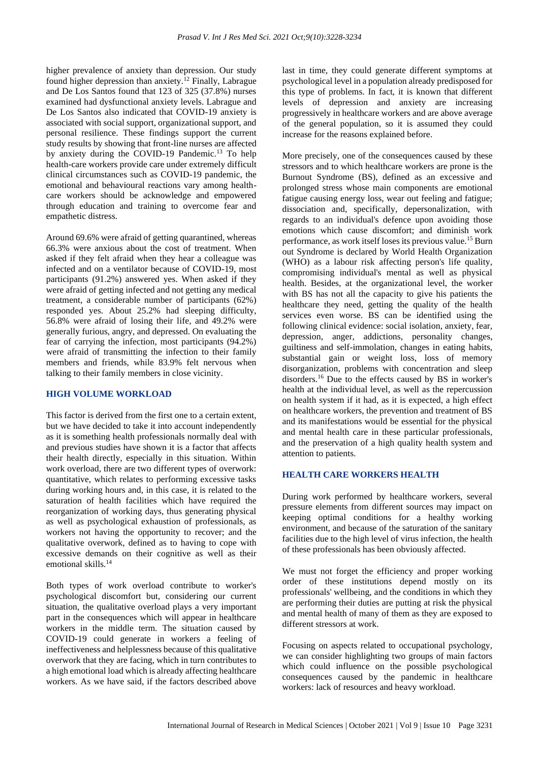higher prevalence of anxiety than depression. Our study found higher depression than anxiety.<sup>12</sup> Finally, Labrague and De Los Santos found that 123 of 325 (37.8%) nurses examined had dysfunctional anxiety levels. Labrague and De Los Santos also indicated that COVID-19 anxiety is associated with social support, organizational support, and personal resilience. These findings support the current study results by showing that front-line nurses are affected by anxiety during the COVID-19 Pandemic.<sup>13</sup> To help health-care workers provide care under extremely difficult clinical circumstances such as COVID-19 pandemic, the emotional and behavioural reactions vary among healthcare workers should be acknowledge and empowered through education and training to overcome fear and empathetic distress.

Around 69.6% were afraid of getting quarantined, whereas 66.3% were anxious about the cost of treatment. When asked if they felt afraid when they hear a colleague was infected and on a ventilator because of COVID-19, most participants (91.2%) answered yes. When asked if they were afraid of getting infected and not getting any medical treatment, a considerable number of participants (62%) responded yes. About 25.2% had sleeping difficulty, 56.8% were afraid of losing their life, and 49.2% were generally furious, angry, and depressed. On evaluating the fear of carrying the infection, most participants (94.2%) were afraid of transmitting the infection to their family members and friends, while 83.9% felt nervous when talking to their family members in close vicinity.

# **HIGH VOLUME WORKLOAD**

This factor is derived from the first one to a certain extent, but we have decided to take it into account independently as it is something health professionals normally deal with and previous studies have shown it is a factor that affects their health directly, especially in this situation. Within work overload, there are two different types of overwork: quantitative, which relates to performing excessive tasks during working hours and, in this case, it is related to the saturation of health facilities which have required the reorganization of working days, thus generating physical as well as psychological exhaustion of professionals, as workers not having the opportunity to recover; and the qualitative overwork, defined as to having to cope with excessive demands on their cognitive as well as their emotional skills.<sup>14</sup>

Both types of work overload contribute to worker's psychological discomfort but, considering our current situation, the qualitative overload plays a very important part in the consequences which will appear in healthcare workers in the middle term. The situation caused by COVID-19 could generate in workers a feeling of ineffectiveness and helplessness because of this qualitative overwork that they are facing, which in turn contributes to a high emotional load which is already affecting healthcare workers. As we have said, if the factors described above last in time, they could generate different symptoms at psychological level in a population already predisposed for this type of problems. In fact, it is known that different levels of depression and anxiety are increasing progressively in healthcare workers and are above average of the general population, so it is assumed they could increase for the reasons explained before.

More precisely, one of the consequences caused by these stressors and to which healthcare workers are prone is the Burnout Syndrome (BS), defined as an excessive and prolonged stress whose main components are emotional fatigue causing energy loss, wear out feeling and fatigue; dissociation and, specifically, depersonalization, with regards to an individual's defence upon avoiding those emotions which cause discomfort; and diminish work performance, as work itself loses its previous value.<sup>15</sup> Burn out Syndrome is declared by World Health Organization (WHO) as a labour risk affecting person's life quality, compromising individual's mental as well as physical health. Besides, at the organizational level, the worker with BS has not all the capacity to give his patients the healthcare they need, getting the quality of the health services even worse. BS can be identified using the following clinical evidence: social isolation, anxiety, fear, depression, anger, addictions, personality changes, guiltiness and self-immolation, changes in eating habits, substantial gain or weight loss, loss of memory disorganization, problems with concentration and sleep disorders.<sup>16</sup> Due to the effects caused by BS in worker's health at the individual level, as well as the repercussion on health system if it had, as it is expected, a high effect on healthcare workers, the prevention and treatment of BS and its manifestations would be essential for the physical and mental health care in these particular professionals, and the preservation of a high quality health system and attention to patients.

#### **HEALTH CARE WORKERS HEALTH**

During work performed by healthcare workers, several pressure elements from different sources may impact on keeping optimal conditions for a healthy working environment, and because of the saturation of the sanitary facilities due to the high level of virus infection, the health of these professionals has been obviously affected.

We must not forget the efficiency and proper working order of these institutions depend mostly on its professionals' wellbeing, and the conditions in which they are performing their duties are putting at risk the physical and mental health of many of them as they are exposed to different stressors at work.

Focusing on aspects related to occupational psychology, we can consider highlighting two groups of main factors which could influence on the possible psychological consequences caused by the pandemic in healthcare workers: lack of resources and heavy workload.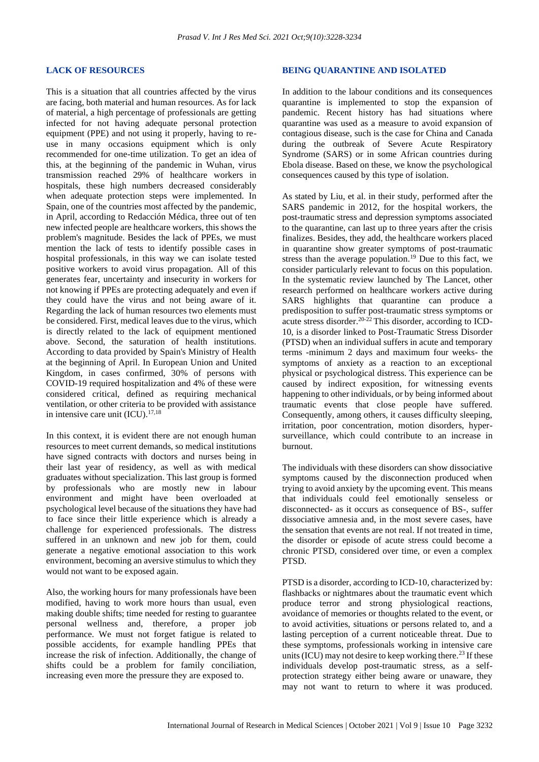#### **LACK OF RESOURCES**

This is a situation that all countries affected by the virus are facing, both material and human resources. As for lack of material, a high percentage of professionals are getting infected for not having adequate personal protection equipment (PPE) and not using it properly, having to reuse in many occasions equipment which is only recommended for one-time utilization. To get an idea of this, at the beginning of the pandemic in Wuhan, virus transmission reached 29% of healthcare workers in hospitals, these high numbers decreased considerably when adequate protection steps were implemented. In Spain, one of the countries most affected by the pandemic, in April, according to Redacción Médica, three out of ten new infected people are healthcare workers, this shows the problem's magnitude. Besides the lack of PPEs, we must mention the lack of tests to identify possible cases in hospital professionals, in this way we can isolate tested positive workers to avoid virus propagation. All of this generates fear, uncertainty and insecurity in workers for not knowing if PPEs are protecting adequately and even if they could have the virus and not being aware of it. Regarding the lack of human resources two elements must be considered. First, medical leaves due to the virus, which is directly related to the lack of equipment mentioned above. Second, the saturation of health institutions. According to data provided by Spain's Ministry of Health at the beginning of April. In European Union and United Kingdom, in cases confirmed, 30% of persons with COVID-19 required hospitalization and 4% of these were considered critical, defined as requiring mechanical ventilation, or other criteria to be provided with assistance in intensive care unit  $(ICU)^{17,18}$ 

In this context, it is evident there are not enough human resources to meet current demands, so medical institutions have signed contracts with doctors and nurses being in their last year of residency, as well as with medical graduates without specialization. This last group is formed by professionals who are mostly new in labour environment and might have been overloaded at psychological level because of the situations they have had to face since their little experience which is already a challenge for experienced professionals. The distress suffered in an unknown and new job for them, could generate a negative emotional association to this work environment, becoming an aversive stimulus to which they would not want to be exposed again.

Also, the working hours for many professionals have been modified, having to work more hours than usual, even making double shifts; time needed for resting to guarantee personal wellness and, therefore, a proper job performance. We must not forget fatigue is related to possible accidents, for example handling PPEs that increase the risk of infection. Additionally, the change of shifts could be a problem for family conciliation, increasing even more the pressure they are exposed to.

# **BEING QUARANTINE AND ISOLATED**

In addition to the labour conditions and its consequences quarantine is implemented to stop the expansion of pandemic. Recent history has had situations where quarantine was used as a measure to avoid expansion of contagious disease, such is the case for China and Canada during the outbreak of Severe Acute Respiratory Syndrome (SARS) or in some African countries during Ebola disease. Based on these, we know the psychological consequences caused by this type of isolation.

As stated by Liu, et al. in their study, performed after the SARS pandemic in 2012, for the hospital workers, the post-traumatic stress and depression symptoms associated to the quarantine, can last up to three years after the crisis finalizes. Besides, they add, the healthcare workers placed in quarantine show greater symptoms of post-traumatic stress than the average population.<sup>19</sup> Due to this fact, we consider particularly relevant to focus on this population. In the systematic review launched by The Lancet, other research performed on healthcare workers active during SARS highlights that quarantine can produce a predisposition to suffer post-traumatic stress symptoms or acute stress disorder.<sup>20-22</sup> This disorder, according to ICD-10, is a disorder linked to Post-Traumatic Stress Disorder (PTSD) when an individual suffers in acute and temporary terms -minimum 2 days and maximum four weeks- the symptoms of anxiety as a reaction to an exceptional physical or psychological distress. This experience can be caused by indirect exposition, for witnessing events happening to other individuals, or by being informed about traumatic events that close people have suffered. Consequently, among others, it causes difficulty sleeping, irritation, poor concentration, motion disorders, hypersurveillance, which could contribute to an increase in burnout.

The individuals with these disorders can show dissociative symptoms caused by the disconnection produced when trying to avoid anxiety by the upcoming event. This means that individuals could feel emotionally senseless or disconnected- as it occurs as consequence of BS-, suffer dissociative amnesia and, in the most severe cases, have the sensation that events are not real. If not treated in time, the disorder or episode of acute stress could become a chronic PTSD, considered over time, or even a complex PTSD.

PTSD is a disorder, according to ICD-10, characterized by: flashbacks or nightmares about the traumatic event which produce terror and strong physiological reactions, avoidance of memories or thoughts related to the event, or to avoid activities, situations or persons related to, and a lasting perception of a current noticeable threat. Due to these symptoms, professionals working in intensive care units (ICU) may not desire to keep working there.<sup>23</sup> If these individuals develop post-traumatic stress, as a selfprotection strategy either being aware or unaware, they may not want to return to where it was produced.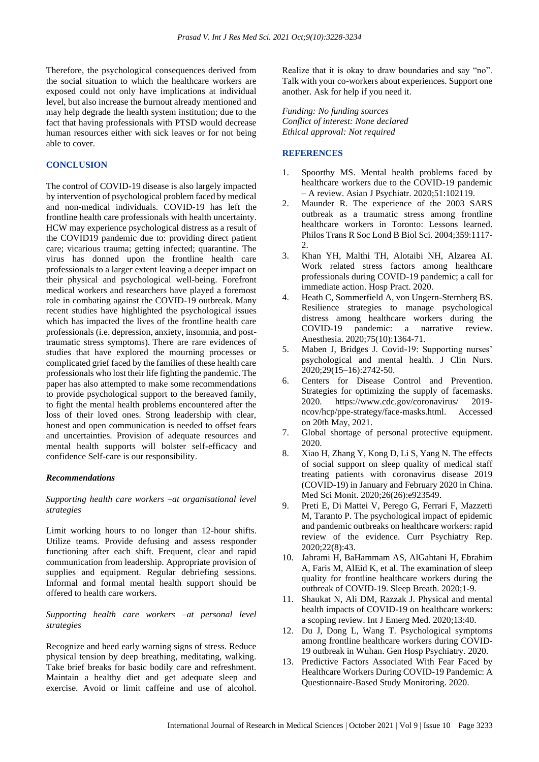Therefore, the psychological consequences derived from the social situation to which the healthcare workers are exposed could not only have implications at individual level, but also increase the burnout already mentioned and may help degrade the health system institution; due to the fact that having professionals with PTSD would decrease human resources either with sick leaves or for not being able to cover.

#### **CONCLUSION**

The control of COVID-19 disease is also largely impacted by intervention of psychological problem faced by medical and non-medical individuals. COVID-19 has left the frontline health care professionals with health uncertainty. HCW may experience psychological distress as a result of the COVID19 pandemic due to: providing direct patient care; vicarious trauma; getting infected; quarantine. The virus has donned upon the frontline health care professionals to a larger extent leaving a deeper impact on their physical and psychological well-being. Forefront medical workers and researchers have played a foremost role in combating against the COVID-19 outbreak. Many recent studies have highlighted the psychological issues which has impacted the lives of the frontline health care professionals (i.e. depression, anxiety, insomnia, and posttraumatic stress symptoms). There are rare evidences of studies that have explored the mourning processes or complicated grief faced by the families of these health care professionals who lost their life fighting the pandemic. The paper has also attempted to make some recommendations to provide psychological support to the bereaved family, to fight the mental health problems encountered after the loss of their loved ones. Strong leadership with clear, honest and open communication is needed to offset fears and uncertainties. Provision of adequate resources and mental health supports will bolster self-efficacy and confidence Self-care is our responsibility.

#### *Recommendations*

# *Supporting health care workers –at organisational level strategies*

Limit working hours to no longer than 12-hour shifts. Utilize teams. Provide defusing and assess responder functioning after each shift. Frequent, clear and rapid communication from leadership. Appropriate provision of supplies and equipment. Regular debriefing sessions. Informal and formal mental health support should be offered to health care workers.

## *Supporting health care workers –at personal level strategies*

Recognize and heed early warning signs of stress. Reduce physical tension by deep breathing, meditating, walking. Take brief breaks for basic bodily care and refreshment. Maintain a healthy diet and get adequate sleep and exercise. Avoid or limit caffeine and use of alcohol. Realize that it is okay to draw boundaries and say "no". Talk with your co-workers about experiences. Support one another. Ask for help if you need it.

*Funding: No funding sources Conflict of interest: None declared Ethical approval: Not required*

#### **REFERENCES**

- 1. Spoorthy MS. Mental health problems faced by healthcare workers due to the COVID-19 pandemic – A review. Asian J Psychiatr. 2020;51:102119.
- 2. Maunder R. The experience of the 2003 SARS outbreak as a traumatic stress among frontline healthcare workers in Toronto: Lessons learned. Philos Trans R Soc Lond B Biol Sci. 2004;359:1117-  $\mathcal{D}$
- 3. Khan YH, Malthi TH, Alotaibi NH, Alzarea AI. Work related stress factors among healthcare professionals during COVID-19 pandemic; a call for immediate action. Hosp Pract. 2020.
- 4. Heath C, Sommerfield A, von Ungern-Sternberg BS. Resilience strategies to manage psychological distress among healthcare workers during the COVID-19 pandemic: a narrative review. Anesthesia. 2020;75(10):1364-71.
- 5. Maben J, Bridges J. Covid-19: Supporting nurses' psychological and mental health. J Clin Nurs. 2020;29(15–16):2742-50.
- 6. Centers for Disease Control and Prevention. Strategies for optimizing the supply of facemasks. 2020. https://www.cdc.gov/coronavirus/ 2019 ncov/hcp/ppe-strategy/face-masks.html. Accessed on 20th May, 2021.
- 7. Global shortage of personal protective equipment. 2020.
- 8. Xiao H, Zhang Y, Kong D, Li S, Yang N. The effects of social support on sleep quality of medical staff treating patients with coronavirus disease 2019 (COVID-19) in January and February 2020 in China. Med Sci Monit. 2020;26(26):e923549.
- 9. Preti E, Di Mattei V, Perego G, Ferrari F, Mazzetti M, Taranto P. The psychological impact of epidemic and pandemic outbreaks on healthcare workers: rapid review of the evidence. Curr Psychiatry Rep. 2020;22(8):43.
- 10. Jahrami H, BaHammam AS, AlGahtani H, Ebrahim A, Faris M, AlEid K, et al. The examination of sleep quality for frontline healthcare workers during the outbreak of COVID-19. Sleep Breath. 2020;1-9.
- 11. Shaukat N, Ali DM, Razzak J. Physical and mental health impacts of COVID-19 on healthcare workers: a scoping review. Int J Emerg Med. 2020;13:40.
- 12. Du J, Dong L, Wang T. Psychological symptoms among frontline healthcare workers during COVID-19 outbreak in Wuhan. Gen Hosp Psychiatry. 2020.
- 13. Predictive Factors Associated With Fear Faced by Healthcare Workers During COVID-19 Pandemic: A Questionnaire-Based Study Monitoring. 2020.